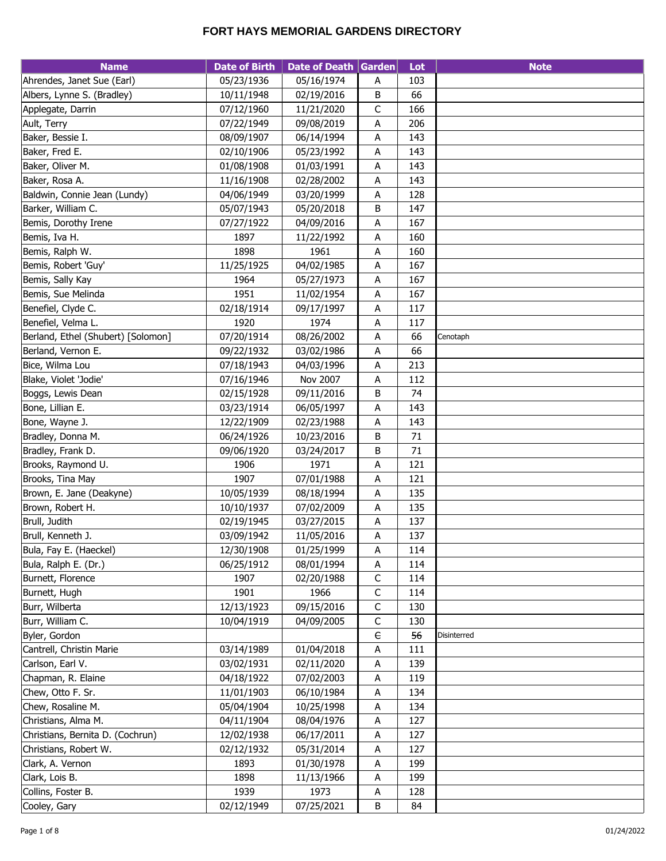| <b>Name</b>                        | <b>Date of Birth</b> | Date of Death Garden |             | Lot | <b>Note</b> |
|------------------------------------|----------------------|----------------------|-------------|-----|-------------|
| Ahrendes, Janet Sue (Earl)         | 05/23/1936           | 05/16/1974           | Α           | 103 |             |
| Albers, Lynne S. (Bradley)         | 10/11/1948           | 02/19/2016           | B           | 66  |             |
| Applegate, Darrin                  | 07/12/1960           | 11/21/2020           | $\mathsf C$ | 166 |             |
| Ault, Terry                        | 07/22/1949           | 09/08/2019           | А           | 206 |             |
| Baker, Bessie I.                   | 08/09/1907           | 06/14/1994           | Α           | 143 |             |
| Baker, Fred E.                     | 02/10/1906           | 05/23/1992           | Α           | 143 |             |
| Baker, Oliver M.                   | 01/08/1908           | 01/03/1991           | A           | 143 |             |
| Baker, Rosa A.                     | 11/16/1908           | 02/28/2002           | Α           | 143 |             |
| Baldwin, Connie Jean (Lundy)       | 04/06/1949           | 03/20/1999           | A           | 128 |             |
| Barker, William C.                 | 05/07/1943           | 05/20/2018           | В           | 147 |             |
| Bemis, Dorothy Irene               | 07/27/1922           | 04/09/2016           | Α           | 167 |             |
| Bemis, Iva H.                      | 1897                 | 11/22/1992           | A           | 160 |             |
| Bemis, Ralph W.                    | 1898                 | 1961                 | Α           | 160 |             |
| Bemis, Robert 'Guy'                | 11/25/1925           | 04/02/1985           | Α           | 167 |             |
| Bemis, Sally Kay                   | 1964                 | 05/27/1973           | A           | 167 |             |
| Bemis, Sue Melinda                 | 1951                 | 11/02/1954           | A           | 167 |             |
| Benefiel, Clyde C.                 | 02/18/1914           | 09/17/1997           | Α           | 117 |             |
| Benefiel, Velma L.                 | 1920                 | 1974                 | A           | 117 |             |
| Berland, Ethel (Shubert) [Solomon] | 07/20/1914           | 08/26/2002           | Α           | 66  | Cenotaph    |
| Berland, Vernon E.                 | 09/22/1932           | 03/02/1986           | Α           | 66  |             |
| Bice, Wilma Lou                    | 07/18/1943           | 04/03/1996           | A           | 213 |             |
| Blake, Violet 'Jodie'              | 07/16/1946           | Nov 2007             | A           | 112 |             |
| Boggs, Lewis Dean                  | 02/15/1928           | 09/11/2016           | B           | 74  |             |
| Bone, Lillian E.                   | 03/23/1914           | 06/05/1997           | Α           | 143 |             |
| Bone, Wayne J.                     | 12/22/1909           | 02/23/1988           | Α           | 143 |             |
| Bradley, Donna M.                  | 06/24/1926           | 10/23/2016           | B           | 71  |             |
| Bradley, Frank D.                  | 09/06/1920           | 03/24/2017           | B           | 71  |             |
| Brooks, Raymond U.                 | 1906                 | 1971                 | Α           | 121 |             |
| Brooks, Tina May                   | 1907                 | 07/01/1988           | A           | 121 |             |
| Brown, E. Jane (Deakyne)           | 10/05/1939           | 08/18/1994           | Α           | 135 |             |
| Brown, Robert H.                   | 10/10/1937           | 07/02/2009           | A           | 135 |             |
| Brull, Judith                      | 02/19/1945           | 03/27/2015           | Α           | 137 |             |
| Brull, Kenneth J.                  | 03/09/1942           | 11/05/2016           | A           | 137 |             |
| Bula, Fay E. (Haeckel)             | 12/30/1908           | 01/25/1999           | A           | 114 |             |
| Bula, Ralph E. (Dr.)               | 06/25/1912           | 08/01/1994           | A           | 114 |             |
| Burnett, Florence                  | 1907                 | 02/20/1988           | $\mathsf C$ | 114 |             |
| Burnett, Hugh                      | 1901                 | 1966                 | $\mathsf C$ | 114 |             |
| Burr, Wilberta                     | 12/13/1923           | 09/15/2016           | $\mathsf C$ | 130 |             |
| Burr, William C.                   | 10/04/1919           | 04/09/2005           | $\mathsf C$ | 130 |             |
| Byler, Gordon                      |                      |                      | $\in$       | 56  | Disinterred |
| Cantrell, Christin Marie           | 03/14/1989           | 01/04/2018           | Α           | 111 |             |
| Carlson, Earl V.                   | 03/02/1931           | 02/11/2020           | A           | 139 |             |
| Chapman, R. Elaine                 | 04/18/1922           | 07/02/2003           | A           | 119 |             |
| Chew, Otto F. Sr.                  | 11/01/1903           | 06/10/1984           | A           | 134 |             |
| Chew, Rosaline M.                  | 05/04/1904           | 10/25/1998           | A           | 134 |             |
| Christians, Alma M.                | 04/11/1904           | 08/04/1976           | A           | 127 |             |
| Christians, Bernita D. (Cochrun)   | 12/02/1938           | 06/17/2011           | Α           | 127 |             |
| Christians, Robert W.              | 02/12/1932           | 05/31/2014           | Α           | 127 |             |
| Clark, A. Vernon                   | 1893                 | 01/30/1978           | A           | 199 |             |
| Clark, Lois B.                     | 1898                 | 11/13/1966           | Α           | 199 |             |
| Collins, Foster B.                 | 1939                 | 1973                 | A           | 128 |             |
| Cooley, Gary                       | 02/12/1949           | 07/25/2021           | $\sf B$     | 84  |             |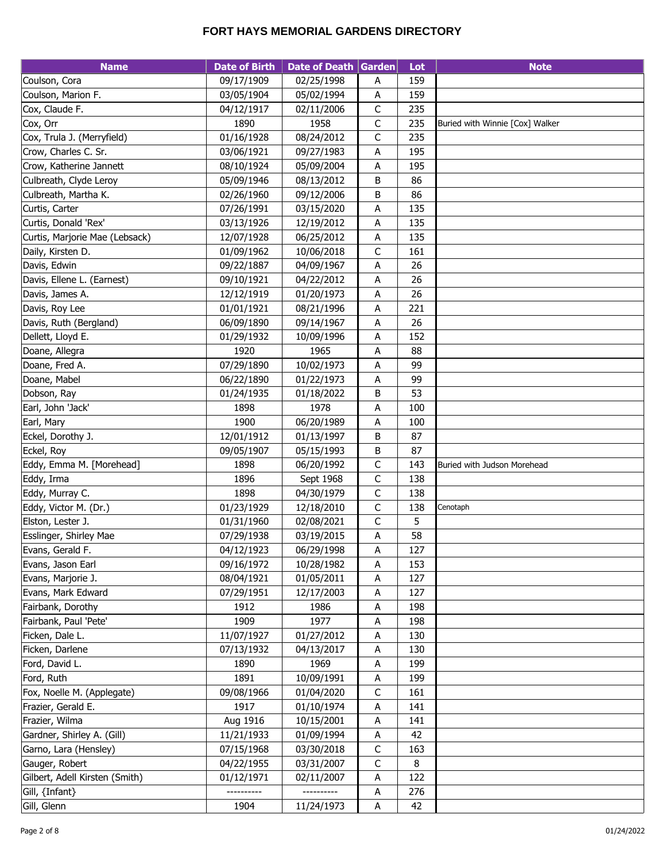| <b>Name</b>                    | <b>Date of Birth</b> | Date of Death Garden |              | Lot | <b>Note</b>                     |
|--------------------------------|----------------------|----------------------|--------------|-----|---------------------------------|
| Coulson, Cora                  | 09/17/1909           | 02/25/1998           | A            | 159 |                                 |
| Coulson, Marion F.             | 03/05/1904           | 05/02/1994           | Α            | 159 |                                 |
| Cox, Claude F.                 | 04/12/1917           | 02/11/2006           | C            | 235 |                                 |
| Cox, Orr                       | 1890                 | 1958                 | $\mathsf C$  | 235 | Buried with Winnie [Cox] Walker |
| Cox, Trula J. (Merryfield)     | 01/16/1928           | 08/24/2012           | C            | 235 |                                 |
| Crow, Charles C. Sr.           | 03/06/1921           | 09/27/1983           | A            | 195 |                                 |
| Crow, Katherine Jannett        | 08/10/1924           | 05/09/2004           | A            | 195 |                                 |
| Culbreath, Clyde Leroy         | 05/09/1946           | 08/13/2012           | В            | 86  |                                 |
| Culbreath, Martha K.           | 02/26/1960           | 09/12/2006           | В            | 86  |                                 |
| Curtis, Carter                 | 07/26/1991           | 03/15/2020           | Α            | 135 |                                 |
| Curtis, Donald 'Rex'           | 03/13/1926           | 12/19/2012           | Α            | 135 |                                 |
| Curtis, Marjorie Mae (Lebsack) | 12/07/1928           | 06/25/2012           | A            | 135 |                                 |
| Daily, Kirsten D.              | 01/09/1962           | 10/06/2018           | C            | 161 |                                 |
| Davis, Edwin                   | 09/22/1887           | 04/09/1967           | Α            | 26  |                                 |
| Davis, Ellene L. (Earnest)     | 09/10/1921           | 04/22/2012           | А            | 26  |                                 |
| Davis, James A.                | 12/12/1919           | 01/20/1973           |              | 26  |                                 |
| Davis, Roy Lee                 | 01/01/1921           | 08/21/1996           | Α<br>A       | 221 |                                 |
| Davis, Ruth (Bergland)         | 06/09/1890           | 09/14/1967           |              | 26  |                                 |
| Dellett, Lloyd E.              | 01/29/1932           |                      | Α<br>Α       | 152 |                                 |
|                                | 1920                 | 10/09/1996<br>1965   |              | 88  |                                 |
| Doane, Allegra                 |                      |                      | A            | 99  |                                 |
| Doane, Fred A.                 | 07/29/1890           | 10/02/1973           | Α            |     |                                 |
| Doane, Mabel                   | 06/22/1890           | 01/22/1973           | A            | 99  |                                 |
| Dobson, Ray                    | 01/24/1935           | 01/18/2022           | В            | 53  |                                 |
| Earl, John 'Jack'              | 1898                 | 1978                 | А            | 100 |                                 |
| Earl, Mary                     | 1900                 | 06/20/1989           | Α            | 100 |                                 |
| Eckel, Dorothy J.              | 12/01/1912           | 01/13/1997           | В            | 87  |                                 |
| Eckel, Roy                     | 09/05/1907           | 05/15/1993           | В            | 87  |                                 |
| Eddy, Emma M. [Morehead]       | 1898                 | 06/20/1992           | C            | 143 | Buried with Judson Morehead     |
| Eddy, Irma                     | 1896                 | Sept 1968            | $\mathsf C$  | 138 |                                 |
| Eddy, Murray C.                | 1898                 | 04/30/1979           | $\mathsf C$  | 138 |                                 |
| Eddy, Victor M. (Dr.)          | 01/23/1929           | 12/18/2010           | $\mathsf{C}$ | 138 | Cenotaph                        |
| Elston, Lester J.              | 01/31/1960           | 02/08/2021           | $\mathsf C$  | 5   |                                 |
| Esslinger, Shirley Mae         | 07/29/1938           | 03/19/2015           | A            | 58  |                                 |
| Evans, Gerald F.               | 04/12/1923           | 06/29/1998           | A            | 127 |                                 |
| Evans, Jason Earl              | 09/16/1972           | 10/28/1982           | Α            | 153 |                                 |
| Evans, Marjorie J.             | 08/04/1921           | 01/05/2011           | A            | 127 |                                 |
| Evans, Mark Edward             | 07/29/1951           | 12/17/2003           | A            | 127 |                                 |
| Fairbank, Dorothy              | 1912                 | 1986                 | A            | 198 |                                 |
| Fairbank, Paul 'Pete'          | 1909                 | 1977                 | Α            | 198 |                                 |
| Ficken, Dale L.                | 11/07/1927           | 01/27/2012           | Α            | 130 |                                 |
| Ficken, Darlene                | 07/13/1932           | 04/13/2017           | Α            | 130 |                                 |
| Ford, David L.                 | 1890                 | 1969                 | Α            | 199 |                                 |
| Ford, Ruth                     | 1891                 | 10/09/1991           | Α            | 199 |                                 |
| Fox, Noelle M. (Applegate)     | 09/08/1966           | 01/04/2020           | С            | 161 |                                 |
| Frazier, Gerald E.             | 1917                 | 01/10/1974           | A            | 141 |                                 |
| Frazier, Wilma                 | Aug 1916             | 10/15/2001           | A            | 141 |                                 |
| Gardner, Shirley A. (Gill)     | 11/21/1933           | 01/09/1994           | A            | 42  |                                 |
| Garno, Lara (Hensley)          | 07/15/1968           | 03/30/2018           | $\mathsf C$  | 163 |                                 |
| Gauger, Robert                 | 04/22/1955           | 03/31/2007           | C            | 8   |                                 |
| Gilbert, Adell Kirsten (Smith) | 01/12/1971           | 02/11/2007           | Α            | 122 |                                 |
| Gill, {Infant}                 |                      |                      | Α            | 276 |                                 |
| Gill, Glenn                    | 1904                 | 11/24/1973           | A            | 42  |                                 |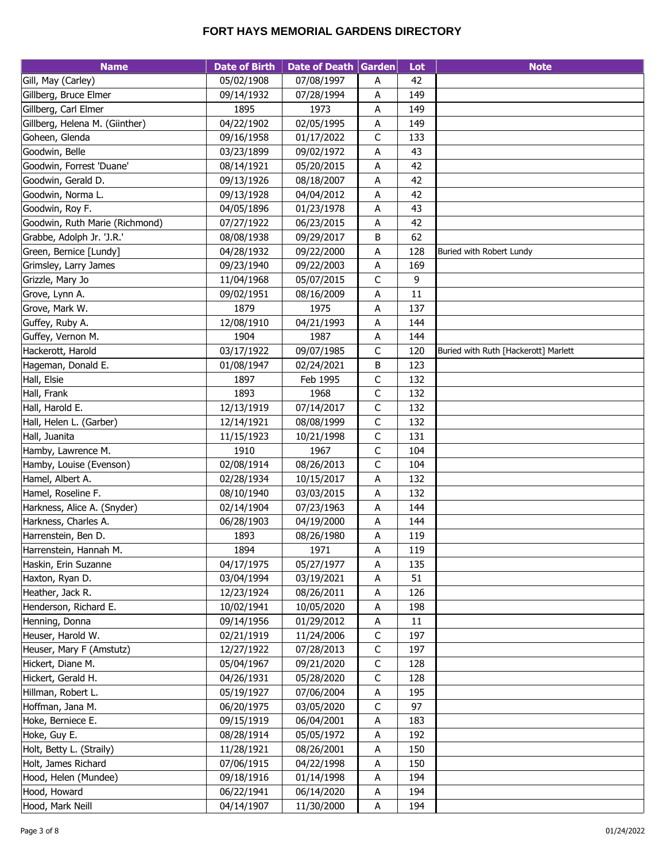| <b>Name</b>                    | <b>Date of Birth</b> | Date of Death Garden |             | Lot    | <b>Note</b>                          |
|--------------------------------|----------------------|----------------------|-------------|--------|--------------------------------------|
| Gill, May (Carley)             | 05/02/1908           | 07/08/1997           | А           | 42     |                                      |
| Gillberg, Bruce Elmer          | 09/14/1932           | 07/28/1994           | A           | 149    |                                      |
| Gillberg, Carl Elmer           | 1895                 | 1973                 | Α           | 149    |                                      |
| Gillberg, Helena M. (Giinther) | 04/22/1902           | 02/05/1995           | Α           | 149    |                                      |
| Goheen, Glenda                 | 09/16/1958           | 01/17/2022           | $\mathsf C$ | 133    |                                      |
| Goodwin, Belle                 | 03/23/1899           | 09/02/1972           | А           | 43     |                                      |
| Goodwin, Forrest 'Duane'       | 08/14/1921           | 05/20/2015           | A           | 42     |                                      |
| Goodwin, Gerald D.             | 09/13/1926           | 08/18/2007           | A           | 42     |                                      |
| Goodwin, Norma L.              | 09/13/1928           | 04/04/2012           | А           | 42     |                                      |
| Goodwin, Roy F.                | 04/05/1896           | 01/23/1978           | А           | 43     |                                      |
| Goodwin, Ruth Marie (Richmond) | 07/27/1922           | 06/23/2015           | A           | 42     |                                      |
| Grabbe, Adolph Jr. 'J.R.'      | 08/08/1938           | 09/29/2017           | B           | 62     |                                      |
| Green, Bernice [Lundy]         | 04/28/1932           | 09/22/2000           | А           | 128    | Buried with Robert Lundy             |
| Grimsley, Larry James          | 09/23/1940           | 09/22/2003           | A           | 169    |                                      |
| Grizzle, Mary Jo               | 11/04/1968           | 05/07/2015           | C           | 9      |                                      |
| Grove, Lynn A.                 | 09/02/1951           | 08/16/2009           | A           | 11     |                                      |
| Grove, Mark W.                 | 1879                 | 1975                 | Α           | 137    |                                      |
| Guffey, Ruby A.                | 12/08/1910           | 04/21/1993           | A           | 144    |                                      |
| Guffey, Vernon M.              | 1904                 | 1987                 | A           | 144    |                                      |
| Hackerott, Harold              | 03/17/1922           | 09/07/1985           | C           | 120    | Buried with Ruth [Hackerott] Marlett |
| Hageman, Donald E.             | 01/08/1947           | 02/24/2021           | B           | 123    |                                      |
| Hall, Elsie                    | 1897                 | Feb 1995             | $\mathsf C$ | 132    |                                      |
| Hall, Frank                    | 1893                 | 1968                 | $\mathsf C$ | 132    |                                      |
| Hall, Harold E.                | 12/13/1919           | 07/14/2017           | $\mathsf C$ | 132    |                                      |
| Hall, Helen L. (Garber)        | 12/14/1921           | 08/08/1999           | $\mathsf C$ | 132    |                                      |
| Hall, Juanita                  | 11/15/1923           | 10/21/1998           | $\mathsf C$ | 131    |                                      |
| Hamby, Lawrence M.             | 1910                 | 1967                 | $\mathsf C$ | 104    |                                      |
| Hamby, Louise (Evenson)        | 02/08/1914           | 08/26/2013           | $\mathsf C$ | 104    |                                      |
| Hamel, Albert A.               | 02/28/1934           | 10/15/2017           | $\sf A$     | 132    |                                      |
| Hamel, Roseline F.             | 08/10/1940           | 03/03/2015           | A           | 132    |                                      |
| Harkness, Alice A. (Snyder)    | 02/14/1904           | 07/23/1963           | Α           | 144    |                                      |
| Harkness, Charles A.           | 06/28/1903           | 04/19/2000           | А           | 144    |                                      |
| Harrenstein, Ben D.            | 1893                 | 08/26/1980           | А           | 119    |                                      |
| Harrenstein, Hannah M.         | 1894                 | 1971                 | A           | 119    |                                      |
| Haskin, Erin Suzanne           | 04/17/1975           | 05/27/1977           | А           | 135    |                                      |
| Haxton, Ryan D.                | 03/04/1994           | 03/19/2021           | A           | 51     |                                      |
| Heather, Jack R.               | 12/23/1924           | 08/26/2011           | A           | 126    |                                      |
| Henderson, Richard E.          | 10/02/1941           | 10/05/2020           | Α           | 198    |                                      |
| Henning, Donna                 | 09/14/1956           | 01/29/2012           | A           | $11\,$ |                                      |
| Heuser, Harold W.              | 02/21/1919           | 11/24/2006           | $\mathsf C$ | 197    |                                      |
| Heuser, Mary F (Amstutz)       | 12/27/1922           | 07/28/2013           | $\mathsf C$ | 197    |                                      |
| Hickert, Diane M.              | 05/04/1967           | 09/21/2020           | $\mathsf C$ | 128    |                                      |
| Hickert, Gerald H.             | 04/26/1931           | 05/28/2020           | $\mathsf C$ | 128    |                                      |
| Hillman, Robert L.             | 05/19/1927           | 07/06/2004           | Α           | 195    |                                      |
| Hoffman, Jana M.               | 06/20/1975           | 03/05/2020           | $\mathsf C$ | 97     |                                      |
| Hoke, Berniece E.              | 09/15/1919           | 06/04/2001           | A           | 183    |                                      |
| Hoke, Guy E.                   | 08/28/1914           | 05/05/1972           | A           | 192    |                                      |
| Holt, Betty L. (Straily)       | 11/28/1921           | 08/26/2001           | Α           | 150    |                                      |
| Holt, James Richard            | 07/06/1915           | 04/22/1998           | Α           | 150    |                                      |
| Hood, Helen (Mundee)           | 09/18/1916           | 01/14/1998           | Α           | 194    |                                      |
| Hood, Howard                   | 06/22/1941           | 06/14/2020           | A           | 194    |                                      |
| Hood, Mark Neill               | 04/14/1907           | 11/30/2000           | A           | 194    |                                      |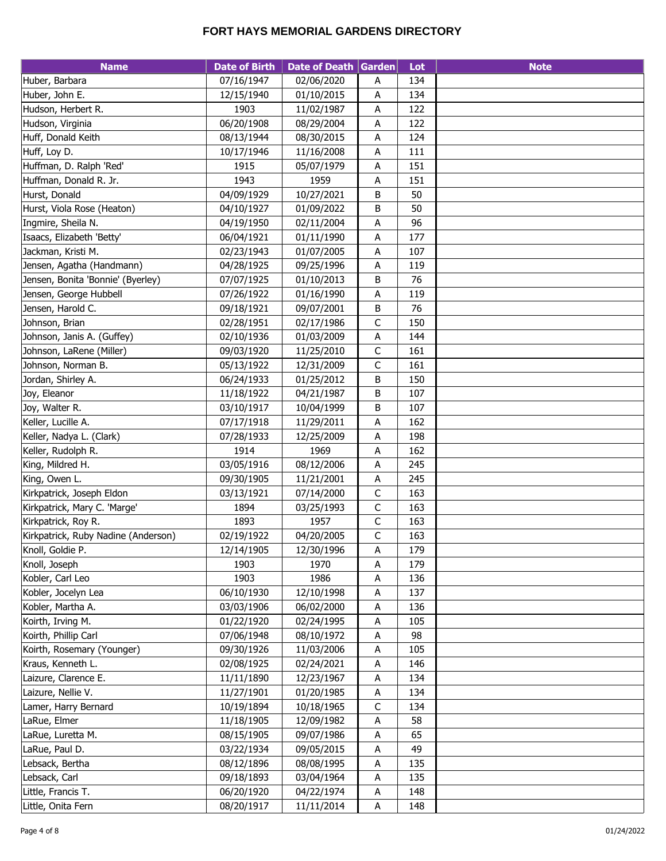| <b>Name</b>                         | <b>Date of Birth</b>     | Date of Death Garden     |                           | Lot | <b>Note</b> |
|-------------------------------------|--------------------------|--------------------------|---------------------------|-----|-------------|
| Huber, Barbara                      | 07/16/1947               | 02/06/2020               | Α                         | 134 |             |
| Huber, John E.                      | 12/15/1940               | 01/10/2015               | Α                         | 134 |             |
| Hudson, Herbert R.                  | 1903                     | 11/02/1987               | Α                         | 122 |             |
| Hudson, Virginia                    | 06/20/1908               | 08/29/2004               | А                         | 122 |             |
| Huff, Donald Keith                  | 08/13/1944               | 08/30/2015               | А                         | 124 |             |
| Huff, Loy D.                        | 10/17/1946               | 11/16/2008               | A                         | 111 |             |
| Huffman, D. Ralph 'Red'             | 1915                     | 05/07/1979               | A                         | 151 |             |
| Huffman, Donald R. Jr.              | 1943                     | 1959                     | Α                         | 151 |             |
| Hurst, Donald                       | 04/09/1929               | 10/27/2021               | B                         | 50  |             |
| Hurst, Viola Rose (Heaton)          | 04/10/1927               | 01/09/2022               | В                         | 50  |             |
| Ingmire, Sheila N.                  | 04/19/1950               | 02/11/2004               | A                         | 96  |             |
| Isaacs, Elizabeth 'Betty'           | 06/04/1921               | 01/11/1990               | Α                         | 177 |             |
| Jackman, Kristi M.                  | 02/23/1943               | 01/07/2005               | $\boldsymbol{\mathsf{A}}$ | 107 |             |
| Jensen, Agatha (Handmann)           | 04/28/1925               | 09/25/1996               | Α                         | 119 |             |
| Jensen, Bonita 'Bonnie' (Byerley)   | 07/07/1925               | 01/10/2013               | B                         | 76  |             |
| Jensen, George Hubbell              | 07/26/1922               | 01/16/1990               | А                         | 119 |             |
| Jensen, Harold C.                   | 09/18/1921               | 09/07/2001               | B                         | 76  |             |
| Johnson, Brian                      | 02/28/1951               | 02/17/1986               | $\mathsf C$               | 150 |             |
| Johnson, Janis A. (Guffey)          | 02/10/1936               | 01/03/2009               | A                         | 144 |             |
| Johnson, LaRene (Miller)            | 09/03/1920               | 11/25/2010               | $\mathsf{C}$              | 161 |             |
| Johnson, Norman B.                  | 05/13/1922               | 12/31/2009               | $\mathsf C$               | 161 |             |
| Jordan, Shirley A.                  | 06/24/1933               | 01/25/2012               | B                         | 150 |             |
| Joy, Eleanor                        | 11/18/1922               | 04/21/1987               | B                         | 107 |             |
| Joy, Walter R.                      | 03/10/1917               | 10/04/1999               | В                         | 107 |             |
| Keller, Lucille A.                  | 07/17/1918               | 11/29/2011               | Α                         | 162 |             |
| Keller, Nadya L. (Clark)            | 07/28/1933               | 12/25/2009               | А                         | 198 |             |
| Keller, Rudolph R.                  | 1914                     | 1969                     | А                         | 162 |             |
| King, Mildred H.                    | 03/05/1916               | 08/12/2006               | A                         | 245 |             |
| King, Owen L.                       | 09/30/1905               | 11/21/2001               | $\boldsymbol{\mathsf{A}}$ | 245 |             |
| Kirkpatrick, Joseph Eldon           | 03/13/1921               | 07/14/2000               | $\mathsf C$               | 163 |             |
| Kirkpatrick, Mary C. 'Marge'        | 1894                     | 03/25/1993               | $\mathsf C$               | 163 |             |
| Kirkpatrick, Roy R.                 | 1893                     | 1957                     | $\mathsf C$               | 163 |             |
| Kirkpatrick, Ruby Nadine (Anderson) | 02/19/1922               | 04/20/2005               | $\mathsf C$               | 163 |             |
| Knoll, Goldie P.                    | 12/14/1905               | 12/30/1996               | A                         | 179 |             |
| Knoll, Joseph                       | 1903                     | 1970                     | Α                         | 179 |             |
| Kobler, Carl Leo                    | 1903                     | 1986                     | A                         | 136 |             |
| Kobler, Jocelyn Lea                 | 06/10/1930               | 12/10/1998               | Α                         | 137 |             |
| Kobler, Martha A.                   | 03/03/1906               | 06/02/2000               | A                         | 136 |             |
| Koirth, Irving M.                   | 01/22/1920               | 02/24/1995               | Α                         | 105 |             |
| Koirth, Phillip Carl                | 07/06/1948               | 08/10/1972               | A                         | 98  |             |
| Koirth, Rosemary (Younger)          | 09/30/1926               | 11/03/2006               | Α                         | 105 |             |
| Kraus, Kenneth L.                   | 02/08/1925               | 02/24/2021               | Α                         | 146 |             |
| Laizure, Clarence E.                | 11/11/1890               | 12/23/1967               | A                         | 134 |             |
| Laizure, Nellie V.                  | 11/27/1901               | 01/20/1985               | A                         | 134 |             |
| Lamer, Harry Bernard                | 10/19/1894               | 10/18/1965               | $\mathsf C$               | 134 |             |
| LaRue, Elmer                        | 11/18/1905               | 12/09/1982               | Α                         | 58  |             |
| LaRue, Luretta M.                   | 08/15/1905               | 09/07/1986               | A                         | 65  |             |
|                                     |                          |                          |                           | 49  |             |
| LaRue, Paul D.<br>Lebsack, Bertha   | 03/22/1934<br>08/12/1896 | 09/05/2015<br>08/08/1995 | А                         | 135 |             |
| Lebsack, Carl                       | 09/18/1893               | 03/04/1964               | A                         | 135 |             |
|                                     |                          |                          | Α                         |     |             |
| Little, Francis T.                  | 06/20/1920               | 04/22/1974               | A                         | 148 |             |
| Little, Onita Fern                  | 08/20/1917               | 11/11/2014               | A                         | 148 |             |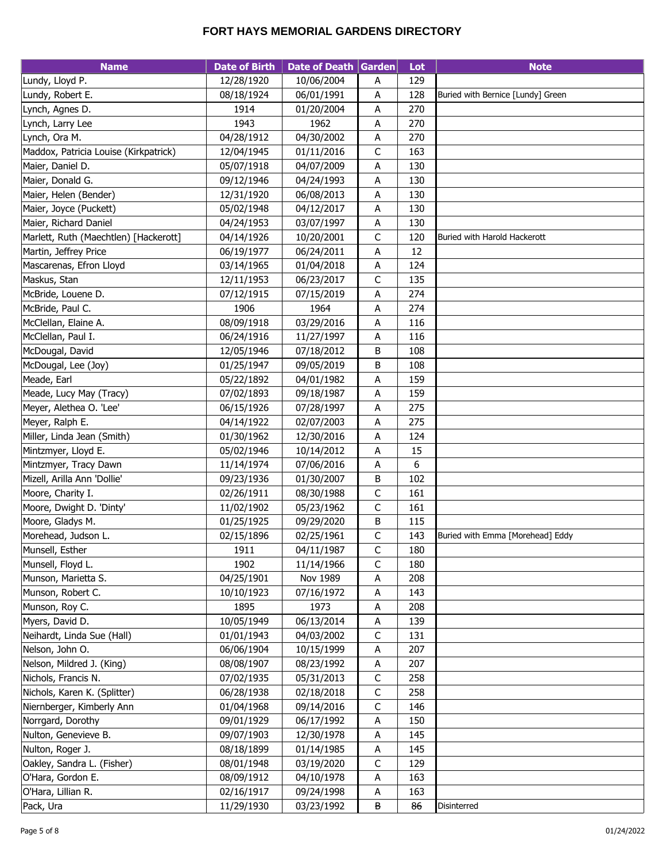| <b>Name</b>                              | <b>Date of Birth</b> | Date of Death Garden |             | Lot        | <b>Note</b>                       |
|------------------------------------------|----------------------|----------------------|-------------|------------|-----------------------------------|
| Lundy, Lloyd P.                          | 12/28/1920           | 10/06/2004           | Α           | 129        |                                   |
| Lundy, Robert E.                         | 08/18/1924           | 06/01/1991           | A           | 128        | Buried with Bernice [Lundy] Green |
| Lynch, Agnes D.                          | 1914                 | 01/20/2004           | A           | 270        |                                   |
| Lynch, Larry Lee                         | 1943                 | 1962                 | A           | 270        |                                   |
| Lynch, Ora M.                            | 04/28/1912           | 04/30/2002           | A           | 270        |                                   |
| Maddox, Patricia Louise (Kirkpatrick)    | 12/04/1945           | 01/11/2016           | C           | 163        |                                   |
| Maier, Daniel D.                         | 05/07/1918           | 04/07/2009           | A           | 130        |                                   |
| Maier, Donald G.                         | 09/12/1946           | 04/24/1993           | A           | 130        |                                   |
| Maier, Helen (Bender)                    | 12/31/1920           | 06/08/2013           | А           | 130        |                                   |
| Maier, Joyce (Puckett)                   | 05/02/1948           | 04/12/2017           | A           | 130        |                                   |
| Maier, Richard Daniel                    | 04/24/1953           | 03/07/1997           | A           | 130        |                                   |
| Marlett, Ruth (Maechtlen) [Hackerott]    | 04/14/1926           | 10/20/2001           | C           | 120        | Buried with Harold Hackerott      |
| Martin, Jeffrey Price                    | 06/19/1977           | 06/24/2011           | A           | 12         |                                   |
| Mascarenas, Efron Lloyd                  | 03/14/1965           | 01/04/2018           | Α           | 124        |                                   |
| Maskus, Stan                             | 12/11/1953           | 06/23/2017           | C           | 135        |                                   |
| McBride, Louene D.                       | 07/12/1915           | 07/15/2019           | A           | 274        |                                   |
| McBride, Paul C.                         | 1906                 | 1964                 | Α           | 274        |                                   |
| McClellan, Elaine A.                     | 08/09/1918           | 03/29/2016           | А           | 116        |                                   |
| McClellan, Paul I.                       | 06/24/1916           | 11/27/1997           | Α           | 116        |                                   |
| McDougal, David                          | 12/05/1946           | 07/18/2012           | В           | 108        |                                   |
| McDougal, Lee (Joy)                      | 01/25/1947           | 09/05/2019           | В           | 108        |                                   |
| Meade, Earl                              | 05/22/1892           | 04/01/1982           | Α           | 159        |                                   |
| Meade, Lucy May (Tracy)                  | 07/02/1893           | 09/18/1987           | A           | 159        |                                   |
| Meyer, Alethea O. 'Lee'                  | 06/15/1926           | 07/28/1997           | А           | 275        |                                   |
| Meyer, Ralph E.                          | 04/14/1922           | 02/07/2003           | A           | 275        |                                   |
| Miller, Linda Jean (Smith)               | 01/30/1962           | 12/30/2016           | Α           | 124        |                                   |
| Mintzmyer, Lloyd E.                      | 05/02/1946           | 10/14/2012           | A           | 15         |                                   |
| Mintzmyer, Tracy Dawn                    | 11/14/1974           | 07/06/2016           | A           | 6          |                                   |
| Mizell, Arilla Ann 'Dollie'              | 09/23/1936           | 01/30/2007           | В           | 102        |                                   |
| Moore, Charity I.                        | 02/26/1911           | 08/30/1988           | $\mathsf C$ | 161        |                                   |
| Moore, Dwight D. 'Dinty'                 | 11/02/1902           | 05/23/1962           | $\mathsf C$ | 161        |                                   |
| Moore, Gladys M.                         | 01/25/1925           | 09/29/2020           | В           | 115        |                                   |
| Morehead, Judson L.                      | 02/15/1896           | 02/25/1961           | C           | 143        | Buried with Emma [Morehead] Eddy  |
| Munsell, Esther                          | 1911                 |                      |             |            |                                   |
| Munsell, Floyd L.                        |                      | 04/11/1987           | С           | 180        |                                   |
|                                          | 1902                 | 11/14/1966           | C           | 180<br>208 |                                   |
| Munson, Marietta S.<br>Munson, Robert C. | 04/25/1901           | Nov 1989             | Α           | 143        |                                   |
| Munson, Roy C.                           | 10/10/1923<br>1895   | 07/16/1972<br>1973   | A           | 208        |                                   |
| Myers, David D.                          | 10/05/1949           | 06/13/2014           | Α<br>Α      | 139        |                                   |
| Neihardt, Linda Sue (Hall)               | 01/01/1943           | 04/03/2002           | С           | 131        |                                   |
| Nelson, John O.                          | 06/06/1904           | 10/15/1999           | A           | 207        |                                   |
| Nelson, Mildred J. (King)                | 08/08/1907           | 08/23/1992           | A           | 207        |                                   |
| Nichols, Francis N.                      | 07/02/1935           | 05/31/2013           | С           | 258        |                                   |
| Nichols, Karen K. (Splitter)             | 06/28/1938           | 02/18/2018           | С           | 258        |                                   |
| Niernberger, Kimberly Ann                | 01/04/1968           | 09/14/2016           | С           | 146        |                                   |
| Norrgard, Dorothy                        | 09/01/1929           | 06/17/1992           | A           | 150        |                                   |
|                                          |                      |                      |             |            |                                   |
| Nulton, Genevieve B.                     | 09/07/1903           | 12/30/1978           | Α           | 145        |                                   |
| Nulton, Roger J.                         | 08/18/1899           | 01/14/1985           | A           | 145        |                                   |
| Oakley, Sandra L. (Fisher)               | 08/01/1948           | 03/19/2020           | C           | 129        |                                   |
| O'Hara, Gordon E.                        | 08/09/1912           | 04/10/1978           | A           | 163        |                                   |
| O'Hara, Lillian R.                       | 02/16/1917           | 09/24/1998           | A           | 163        |                                   |
| Pack, Ura                                | 11/29/1930           | 03/23/1992           | В           | 86         | Disinterred                       |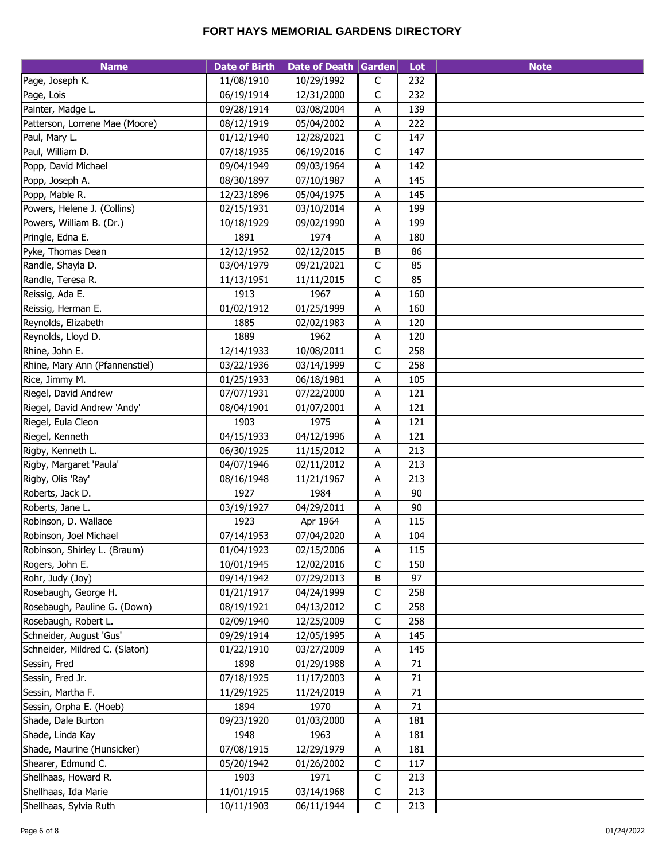| <b>Name</b>                    | <b>Date of Birth</b> | Date of Death Garden |                           | Lot    | <b>Note</b> |
|--------------------------------|----------------------|----------------------|---------------------------|--------|-------------|
| Page, Joseph K.                | 11/08/1910           | 10/29/1992           | $\mathsf C$               | 232    |             |
| Page, Lois                     | 06/19/1914           | 12/31/2000           | $\mathsf C$               | 232    |             |
| Painter, Madge L.              | 09/28/1914           | 03/08/2004           | Α                         | 139    |             |
| Patterson, Lorrene Mae (Moore) | 08/12/1919           | 05/04/2002           | Α                         | 222    |             |
| Paul, Mary L.                  | 01/12/1940           | 12/28/2021           | C                         | 147    |             |
| Paul, William D.               | 07/18/1935           | 06/19/2016           | $\mathsf C$               | 147    |             |
| Popp, David Michael            | 09/04/1949           | 09/03/1964           | A                         | 142    |             |
| Popp, Joseph A.                | 08/30/1897           | 07/10/1987           | A                         | 145    |             |
| Popp, Mable R.                 | 12/23/1896           | 05/04/1975           | A                         | 145    |             |
| Powers, Helene J. (Collins)    | 02/15/1931           | 03/10/2014           | А                         | 199    |             |
| Powers, William B. (Dr.)       | 10/18/1929           | 09/02/1990           | A                         | 199    |             |
| Pringle, Edna E.               | 1891                 | 1974                 | A                         | 180    |             |
| Pyke, Thomas Dean              | 12/12/1952           | 02/12/2015           | B                         | 86     |             |
| Randle, Shayla D.              | 03/04/1979           | 09/21/2021           | $\mathsf C$               | 85     |             |
| Randle, Teresa R.              | 11/13/1951           | 11/11/2015           | $\mathsf C$               | 85     |             |
| Reissig, Ada E.                | 1913                 | 1967                 | А                         | 160    |             |
| Reissig, Herman E.             | 01/02/1912           | 01/25/1999           | A                         | 160    |             |
| Reynolds, Elizabeth            | 1885                 | 02/02/1983           | A                         | 120    |             |
| Reynolds, Lloyd D.             | 1889                 | 1962                 | A                         | 120    |             |
| Rhine, John E.                 | 12/14/1933           | 10/08/2011           | $\mathsf C$               | 258    |             |
| Rhine, Mary Ann (Pfannenstiel) | 03/22/1936           | 03/14/1999           | C                         | 258    |             |
| Rice, Jimmy M.                 | 01/25/1933           | 06/18/1981           | A                         | 105    |             |
| Riegel, David Andrew           | 07/07/1931           | 07/22/2000           | Α                         | 121    |             |
| Riegel, David Andrew 'Andy'    | 08/04/1901           | 01/07/2001           | A                         | 121    |             |
| Riegel, Eula Cleon             | 1903                 | 1975                 | Α                         | 121    |             |
| Riegel, Kenneth                | 04/15/1933           | 04/12/1996           | А                         | 121    |             |
| Rigby, Kenneth L.              | 06/30/1925           | 11/15/2012           | А                         | 213    |             |
| Rigby, Margaret 'Paula'        | 04/07/1946           | 02/11/2012           | A                         | 213    |             |
| Rigby, Olis 'Ray'              | 08/16/1948           | 11/21/1967           | $\boldsymbol{\mathsf{A}}$ | 213    |             |
| Roberts, Jack D.               | 1927                 | 1984                 | А                         | 90     |             |
| Roberts, Jane L.               | 03/19/1927           | 04/29/2011           | $\boldsymbol{\mathsf{A}}$ | 90     |             |
| Robinson, D. Wallace           | 1923                 | Apr 1964             | А                         | 115    |             |
| Robinson, Joel Michael         | 07/14/1953           | 07/04/2020           | Α                         | 104    |             |
| Robinson, Shirley L. (Braum)   | 01/04/1923           | 02/15/2006           | A                         | 115    |             |
| Rogers, John E.                | 10/01/1945           | 12/02/2016           | $\mathsf C$               | 150    |             |
| Rohr, Judy (Joy)               | 09/14/1942           | 07/29/2013           | B                         | 97     |             |
| Rosebaugh, George H.           | 01/21/1917           | 04/24/1999           | $\mathsf C$               | 258    |             |
| Rosebaugh, Pauline G. (Down)   | 08/19/1921           | 04/13/2012           | $\mathsf C$               | 258    |             |
| Rosebaugh, Robert L.           | 02/09/1940           | 12/25/2009           | C                         | 258    |             |
| Schneider, August 'Gus'        | 09/29/1914           | 12/05/1995           | A                         | 145    |             |
| Schneider, Mildred C. (Slaton) | 01/22/1910           | 03/27/2009           | Α                         | 145    |             |
| Sessin, Fred                   | 1898                 | 01/29/1988           | Α                         | 71     |             |
| Sessin, Fred Jr.               | 07/18/1925           | 11/17/2003           | A                         | $71\,$ |             |
| Sessin, Martha F.              | 11/29/1925           | 11/24/2019           | A                         | $71\,$ |             |
| Sessin, Orpha E. (Hoeb)        | 1894                 | 1970                 | Α                         | $71\,$ |             |
| Shade, Dale Burton             | 09/23/1920           | 01/03/2000           | Α                         | 181    |             |
| Shade, Linda Kay               | 1948                 | 1963                 | A                         | 181    |             |
| Shade, Maurine (Hunsicker)     | 07/08/1915           | 12/29/1979           | А                         | 181    |             |
| Shearer, Edmund C.             | 05/20/1942           | 01/26/2002           | $\mathsf C$               | 117    |             |
| Shellhaas, Howard R.           | 1903                 | 1971                 | C                         | 213    |             |
| Shellhaas, Ida Marie           | 11/01/1915           | 03/14/1968           | $\mathsf C$               | 213    |             |
| Shellhaas, Sylvia Ruth         | 10/11/1903           | 06/11/1944           | $\mathsf C$               | 213    |             |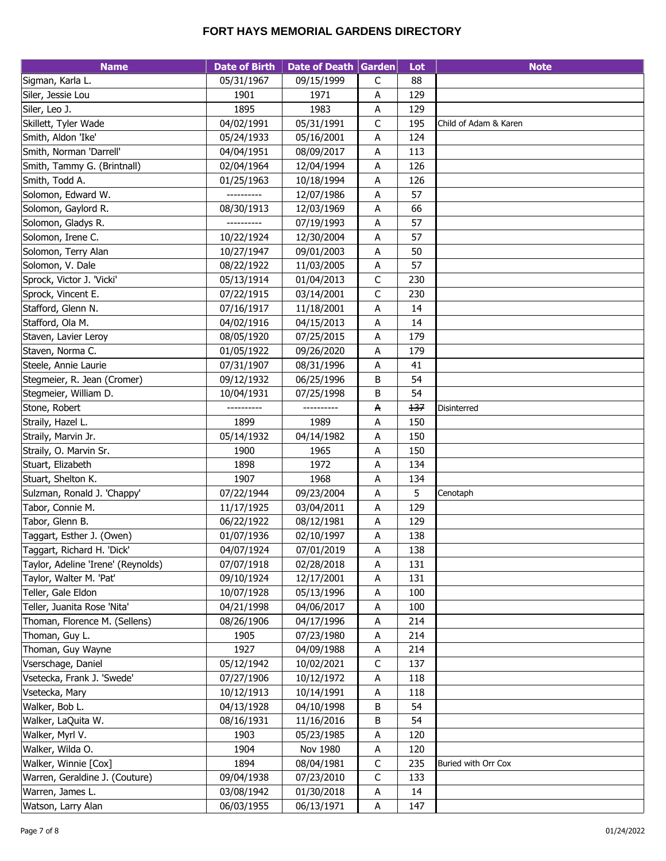| 05/31/1967<br>09/15/1999<br>88<br>Sigman, Karla L.<br>C<br>129<br>Siler, Jessie Lou<br>1901<br>1971<br>Α<br>1983<br>1895<br>129<br>Siler, Leo J.<br>А<br>C<br>Skillett, Tyler Wade<br>04/02/1991<br>05/31/1991<br>195<br>Child of Adam & Karen<br>Smith, Aldon 'Ike'<br>124<br>05/24/1933<br>05/16/2001<br>Α<br>Smith, Norman 'Darrell'<br>113<br>04/04/1951<br>08/09/2017<br>A<br>Smith, Tammy G. (Brintnall)<br>02/04/1964<br>12/04/1994<br>A<br>126<br>Smith, Todd A.<br>10/18/1994<br>126<br>01/25/1963<br>A<br>57<br>Solomon, Edward W.<br>A<br>12/07/1986<br>66<br>Solomon, Gaylord R.<br>08/30/1913<br>12/03/1969<br>Α<br>Solomon, Gladys R.<br>57<br>07/19/1993<br>A<br>----------<br>Solomon, Irene C.<br>10/22/1924<br>57<br>12/30/2004<br>Α<br>50<br>Solomon, Terry Alan<br>10/27/1947<br>09/01/2003<br>A<br>57<br>Solomon, V. Dale<br>08/22/1922<br>11/03/2005<br>A<br>Sprock, Victor J. 'Vicki'<br>С<br>230<br>05/13/1914<br>01/04/2013<br>C<br>Sprock, Vincent E.<br>230<br>07/22/1915<br>03/14/2001<br>Stafford, Glenn N.<br>07/16/1917<br>11/18/2001<br>A<br>14<br>Stafford, Ola M.<br>04/02/1916<br>04/15/2013<br>Α<br>14<br>08/05/1920<br>07/25/2015<br>179<br>Staven, Lavier Leroy<br>А<br>Staven, Norma C.<br>01/05/1922<br>09/26/2020<br>Α<br>179<br>Steele, Annie Laurie<br>41<br>07/31/1907<br>08/31/1996<br>А<br>54<br>Stegmeier, R. Jean (Cromer)<br>09/12/1932<br>06/25/1996<br>В<br>Stegmeier, William D.<br>07/25/1998<br>54<br>10/04/1931<br>В<br>137<br>Stone, Robert<br>A<br>Disinterred<br>1989<br>1899<br>150<br>Straily, Hazel L.<br>Α<br>150<br>Straily, Marvin Jr.<br>05/14/1932<br>04/14/1982<br>А<br>Straily, O. Marvin Sr.<br>1900<br>150<br>1965<br>A<br>Stuart, Elizabeth<br>134<br>1898<br>1972<br>A<br>1968<br>Stuart, Shelton K.<br>1907<br>A<br>134<br>5<br>Sulzman, Ronald J. 'Chappy'<br>07/22/1944<br>09/23/2004<br>Α<br>Cenotaph<br>129<br>Tabor, Connie M.<br>11/17/1925<br>03/04/2011<br>A<br>Tabor, Glenn B.<br>129<br>06/22/1922<br>08/12/1981<br>А<br>138<br>Taggart, Esther J. (Owen)<br>01/07/1936<br>02/10/1997<br>A<br>Taggart, Richard H. 'Dick'<br>04/07/1924<br>07/01/2019<br>138<br>A<br>Taylor, Adeline 'Irene' (Reynolds)<br>07/07/1918<br>02/28/2018<br>А<br>131<br>09/10/1924<br>Taylor, Walter M. 'Pat'<br>12/17/2001<br>A<br>131<br>Teller, Gale Eldon<br>100<br>10/07/1928<br>05/13/1996<br>Α<br>Teller, Juanita Rose 'Nita'<br>100<br>04/21/1998<br>04/06/2017<br>A<br>Thoman, Florence M. (Sellens)<br>08/26/1906<br>04/17/1996<br>214<br>Α<br>Thoman, Guy L.<br>1905<br>07/23/1980<br>Α<br>214<br>Thoman, Guy Wayne<br>1927<br>04/09/1988<br>214<br>Α<br>Vserschage, Daniel<br>C<br>05/12/1942<br>10/02/2021<br>137<br>Vsetecka, Frank J. 'Swede'<br>07/27/1906<br>10/12/1972<br>А<br>118<br>Vsetecka, Mary<br>10/12/1913<br>10/14/1991<br>118<br>A<br>Walker, Bob L.<br>54<br>04/13/1928<br>04/10/1998<br>В<br>Walker, LaQuita W.<br>В<br>54<br>08/16/1931<br>11/16/2016<br>Walker, Myrl V.<br>1903<br>05/23/1985<br>A<br>120<br>Walker, Wilda O.<br>1904<br>120<br>Nov 1980<br>Α<br>Walker, Winnie [Cox]<br>1894<br>08/04/1981<br>С<br>235<br>Buried with Orr Cox<br>C<br>Warren, Geraldine J. (Couture)<br>09/04/1938<br>07/23/2010<br>133<br>Warren, James L.<br>14<br>03/08/1942<br>01/30/2018<br>A | <b>Name</b>        | <b>Date of Birth</b> | Date of Death Garden |              | Lot | <b>Note</b> |
|----------------------------------------------------------------------------------------------------------------------------------------------------------------------------------------------------------------------------------------------------------------------------------------------------------------------------------------------------------------------------------------------------------------------------------------------------------------------------------------------------------------------------------------------------------------------------------------------------------------------------------------------------------------------------------------------------------------------------------------------------------------------------------------------------------------------------------------------------------------------------------------------------------------------------------------------------------------------------------------------------------------------------------------------------------------------------------------------------------------------------------------------------------------------------------------------------------------------------------------------------------------------------------------------------------------------------------------------------------------------------------------------------------------------------------------------------------------------------------------------------------------------------------------------------------------------------------------------------------------------------------------------------------------------------------------------------------------------------------------------------------------------------------------------------------------------------------------------------------------------------------------------------------------------------------------------------------------------------------------------------------------------------------------------------------------------------------------------------------------------------------------------------------------------------------------------------------------------------------------------------------------------------------------------------------------------------------------------------------------------------------------------------------------------------------------------------------------------------------------------------------------------------------------------------------------------------------------------------------------------------------------------------------------------------------------------------------------------------------------------------------------------------------------------------------------------------------------------------------------------------------------------------------------------------------------------------------------------------------------------------------------------------------------------------------------------------------------------------------------------------------------------------------------------------------------------------------------------------------------------------------------------------------|--------------------|----------------------|----------------------|--------------|-----|-------------|
|                                                                                                                                                                                                                                                                                                                                                                                                                                                                                                                                                                                                                                                                                                                                                                                                                                                                                                                                                                                                                                                                                                                                                                                                                                                                                                                                                                                                                                                                                                                                                                                                                                                                                                                                                                                                                                                                                                                                                                                                                                                                                                                                                                                                                                                                                                                                                                                                                                                                                                                                                                                                                                                                                                                                                                                                                                                                                                                                                                                                                                                                                                                                                                                                                                                                                  |                    |                      |                      |              |     |             |
|                                                                                                                                                                                                                                                                                                                                                                                                                                                                                                                                                                                                                                                                                                                                                                                                                                                                                                                                                                                                                                                                                                                                                                                                                                                                                                                                                                                                                                                                                                                                                                                                                                                                                                                                                                                                                                                                                                                                                                                                                                                                                                                                                                                                                                                                                                                                                                                                                                                                                                                                                                                                                                                                                                                                                                                                                                                                                                                                                                                                                                                                                                                                                                                                                                                                                  |                    |                      |                      |              |     |             |
|                                                                                                                                                                                                                                                                                                                                                                                                                                                                                                                                                                                                                                                                                                                                                                                                                                                                                                                                                                                                                                                                                                                                                                                                                                                                                                                                                                                                                                                                                                                                                                                                                                                                                                                                                                                                                                                                                                                                                                                                                                                                                                                                                                                                                                                                                                                                                                                                                                                                                                                                                                                                                                                                                                                                                                                                                                                                                                                                                                                                                                                                                                                                                                                                                                                                                  |                    |                      |                      |              |     |             |
|                                                                                                                                                                                                                                                                                                                                                                                                                                                                                                                                                                                                                                                                                                                                                                                                                                                                                                                                                                                                                                                                                                                                                                                                                                                                                                                                                                                                                                                                                                                                                                                                                                                                                                                                                                                                                                                                                                                                                                                                                                                                                                                                                                                                                                                                                                                                                                                                                                                                                                                                                                                                                                                                                                                                                                                                                                                                                                                                                                                                                                                                                                                                                                                                                                                                                  |                    |                      |                      |              |     |             |
|                                                                                                                                                                                                                                                                                                                                                                                                                                                                                                                                                                                                                                                                                                                                                                                                                                                                                                                                                                                                                                                                                                                                                                                                                                                                                                                                                                                                                                                                                                                                                                                                                                                                                                                                                                                                                                                                                                                                                                                                                                                                                                                                                                                                                                                                                                                                                                                                                                                                                                                                                                                                                                                                                                                                                                                                                                                                                                                                                                                                                                                                                                                                                                                                                                                                                  |                    |                      |                      |              |     |             |
|                                                                                                                                                                                                                                                                                                                                                                                                                                                                                                                                                                                                                                                                                                                                                                                                                                                                                                                                                                                                                                                                                                                                                                                                                                                                                                                                                                                                                                                                                                                                                                                                                                                                                                                                                                                                                                                                                                                                                                                                                                                                                                                                                                                                                                                                                                                                                                                                                                                                                                                                                                                                                                                                                                                                                                                                                                                                                                                                                                                                                                                                                                                                                                                                                                                                                  |                    |                      |                      |              |     |             |
|                                                                                                                                                                                                                                                                                                                                                                                                                                                                                                                                                                                                                                                                                                                                                                                                                                                                                                                                                                                                                                                                                                                                                                                                                                                                                                                                                                                                                                                                                                                                                                                                                                                                                                                                                                                                                                                                                                                                                                                                                                                                                                                                                                                                                                                                                                                                                                                                                                                                                                                                                                                                                                                                                                                                                                                                                                                                                                                                                                                                                                                                                                                                                                                                                                                                                  |                    |                      |                      |              |     |             |
|                                                                                                                                                                                                                                                                                                                                                                                                                                                                                                                                                                                                                                                                                                                                                                                                                                                                                                                                                                                                                                                                                                                                                                                                                                                                                                                                                                                                                                                                                                                                                                                                                                                                                                                                                                                                                                                                                                                                                                                                                                                                                                                                                                                                                                                                                                                                                                                                                                                                                                                                                                                                                                                                                                                                                                                                                                                                                                                                                                                                                                                                                                                                                                                                                                                                                  |                    |                      |                      |              |     |             |
|                                                                                                                                                                                                                                                                                                                                                                                                                                                                                                                                                                                                                                                                                                                                                                                                                                                                                                                                                                                                                                                                                                                                                                                                                                                                                                                                                                                                                                                                                                                                                                                                                                                                                                                                                                                                                                                                                                                                                                                                                                                                                                                                                                                                                                                                                                                                                                                                                                                                                                                                                                                                                                                                                                                                                                                                                                                                                                                                                                                                                                                                                                                                                                                                                                                                                  |                    |                      |                      |              |     |             |
|                                                                                                                                                                                                                                                                                                                                                                                                                                                                                                                                                                                                                                                                                                                                                                                                                                                                                                                                                                                                                                                                                                                                                                                                                                                                                                                                                                                                                                                                                                                                                                                                                                                                                                                                                                                                                                                                                                                                                                                                                                                                                                                                                                                                                                                                                                                                                                                                                                                                                                                                                                                                                                                                                                                                                                                                                                                                                                                                                                                                                                                                                                                                                                                                                                                                                  |                    |                      |                      |              |     |             |
|                                                                                                                                                                                                                                                                                                                                                                                                                                                                                                                                                                                                                                                                                                                                                                                                                                                                                                                                                                                                                                                                                                                                                                                                                                                                                                                                                                                                                                                                                                                                                                                                                                                                                                                                                                                                                                                                                                                                                                                                                                                                                                                                                                                                                                                                                                                                                                                                                                                                                                                                                                                                                                                                                                                                                                                                                                                                                                                                                                                                                                                                                                                                                                                                                                                                                  |                    |                      |                      |              |     |             |
|                                                                                                                                                                                                                                                                                                                                                                                                                                                                                                                                                                                                                                                                                                                                                                                                                                                                                                                                                                                                                                                                                                                                                                                                                                                                                                                                                                                                                                                                                                                                                                                                                                                                                                                                                                                                                                                                                                                                                                                                                                                                                                                                                                                                                                                                                                                                                                                                                                                                                                                                                                                                                                                                                                                                                                                                                                                                                                                                                                                                                                                                                                                                                                                                                                                                                  |                    |                      |                      |              |     |             |
|                                                                                                                                                                                                                                                                                                                                                                                                                                                                                                                                                                                                                                                                                                                                                                                                                                                                                                                                                                                                                                                                                                                                                                                                                                                                                                                                                                                                                                                                                                                                                                                                                                                                                                                                                                                                                                                                                                                                                                                                                                                                                                                                                                                                                                                                                                                                                                                                                                                                                                                                                                                                                                                                                                                                                                                                                                                                                                                                                                                                                                                                                                                                                                                                                                                                                  |                    |                      |                      |              |     |             |
|                                                                                                                                                                                                                                                                                                                                                                                                                                                                                                                                                                                                                                                                                                                                                                                                                                                                                                                                                                                                                                                                                                                                                                                                                                                                                                                                                                                                                                                                                                                                                                                                                                                                                                                                                                                                                                                                                                                                                                                                                                                                                                                                                                                                                                                                                                                                                                                                                                                                                                                                                                                                                                                                                                                                                                                                                                                                                                                                                                                                                                                                                                                                                                                                                                                                                  |                    |                      |                      |              |     |             |
|                                                                                                                                                                                                                                                                                                                                                                                                                                                                                                                                                                                                                                                                                                                                                                                                                                                                                                                                                                                                                                                                                                                                                                                                                                                                                                                                                                                                                                                                                                                                                                                                                                                                                                                                                                                                                                                                                                                                                                                                                                                                                                                                                                                                                                                                                                                                                                                                                                                                                                                                                                                                                                                                                                                                                                                                                                                                                                                                                                                                                                                                                                                                                                                                                                                                                  |                    |                      |                      |              |     |             |
|                                                                                                                                                                                                                                                                                                                                                                                                                                                                                                                                                                                                                                                                                                                                                                                                                                                                                                                                                                                                                                                                                                                                                                                                                                                                                                                                                                                                                                                                                                                                                                                                                                                                                                                                                                                                                                                                                                                                                                                                                                                                                                                                                                                                                                                                                                                                                                                                                                                                                                                                                                                                                                                                                                                                                                                                                                                                                                                                                                                                                                                                                                                                                                                                                                                                                  |                    |                      |                      |              |     |             |
|                                                                                                                                                                                                                                                                                                                                                                                                                                                                                                                                                                                                                                                                                                                                                                                                                                                                                                                                                                                                                                                                                                                                                                                                                                                                                                                                                                                                                                                                                                                                                                                                                                                                                                                                                                                                                                                                                                                                                                                                                                                                                                                                                                                                                                                                                                                                                                                                                                                                                                                                                                                                                                                                                                                                                                                                                                                                                                                                                                                                                                                                                                                                                                                                                                                                                  |                    |                      |                      |              |     |             |
|                                                                                                                                                                                                                                                                                                                                                                                                                                                                                                                                                                                                                                                                                                                                                                                                                                                                                                                                                                                                                                                                                                                                                                                                                                                                                                                                                                                                                                                                                                                                                                                                                                                                                                                                                                                                                                                                                                                                                                                                                                                                                                                                                                                                                                                                                                                                                                                                                                                                                                                                                                                                                                                                                                                                                                                                                                                                                                                                                                                                                                                                                                                                                                                                                                                                                  |                    |                      |                      |              |     |             |
|                                                                                                                                                                                                                                                                                                                                                                                                                                                                                                                                                                                                                                                                                                                                                                                                                                                                                                                                                                                                                                                                                                                                                                                                                                                                                                                                                                                                                                                                                                                                                                                                                                                                                                                                                                                                                                                                                                                                                                                                                                                                                                                                                                                                                                                                                                                                                                                                                                                                                                                                                                                                                                                                                                                                                                                                                                                                                                                                                                                                                                                                                                                                                                                                                                                                                  |                    |                      |                      |              |     |             |
|                                                                                                                                                                                                                                                                                                                                                                                                                                                                                                                                                                                                                                                                                                                                                                                                                                                                                                                                                                                                                                                                                                                                                                                                                                                                                                                                                                                                                                                                                                                                                                                                                                                                                                                                                                                                                                                                                                                                                                                                                                                                                                                                                                                                                                                                                                                                                                                                                                                                                                                                                                                                                                                                                                                                                                                                                                                                                                                                                                                                                                                                                                                                                                                                                                                                                  |                    |                      |                      |              |     |             |
|                                                                                                                                                                                                                                                                                                                                                                                                                                                                                                                                                                                                                                                                                                                                                                                                                                                                                                                                                                                                                                                                                                                                                                                                                                                                                                                                                                                                                                                                                                                                                                                                                                                                                                                                                                                                                                                                                                                                                                                                                                                                                                                                                                                                                                                                                                                                                                                                                                                                                                                                                                                                                                                                                                                                                                                                                                                                                                                                                                                                                                                                                                                                                                                                                                                                                  |                    |                      |                      |              |     |             |
|                                                                                                                                                                                                                                                                                                                                                                                                                                                                                                                                                                                                                                                                                                                                                                                                                                                                                                                                                                                                                                                                                                                                                                                                                                                                                                                                                                                                                                                                                                                                                                                                                                                                                                                                                                                                                                                                                                                                                                                                                                                                                                                                                                                                                                                                                                                                                                                                                                                                                                                                                                                                                                                                                                                                                                                                                                                                                                                                                                                                                                                                                                                                                                                                                                                                                  |                    |                      |                      |              |     |             |
|                                                                                                                                                                                                                                                                                                                                                                                                                                                                                                                                                                                                                                                                                                                                                                                                                                                                                                                                                                                                                                                                                                                                                                                                                                                                                                                                                                                                                                                                                                                                                                                                                                                                                                                                                                                                                                                                                                                                                                                                                                                                                                                                                                                                                                                                                                                                                                                                                                                                                                                                                                                                                                                                                                                                                                                                                                                                                                                                                                                                                                                                                                                                                                                                                                                                                  |                    |                      |                      |              |     |             |
|                                                                                                                                                                                                                                                                                                                                                                                                                                                                                                                                                                                                                                                                                                                                                                                                                                                                                                                                                                                                                                                                                                                                                                                                                                                                                                                                                                                                                                                                                                                                                                                                                                                                                                                                                                                                                                                                                                                                                                                                                                                                                                                                                                                                                                                                                                                                                                                                                                                                                                                                                                                                                                                                                                                                                                                                                                                                                                                                                                                                                                                                                                                                                                                                                                                                                  |                    |                      |                      |              |     |             |
|                                                                                                                                                                                                                                                                                                                                                                                                                                                                                                                                                                                                                                                                                                                                                                                                                                                                                                                                                                                                                                                                                                                                                                                                                                                                                                                                                                                                                                                                                                                                                                                                                                                                                                                                                                                                                                                                                                                                                                                                                                                                                                                                                                                                                                                                                                                                                                                                                                                                                                                                                                                                                                                                                                                                                                                                                                                                                                                                                                                                                                                                                                                                                                                                                                                                                  |                    |                      |                      |              |     |             |
|                                                                                                                                                                                                                                                                                                                                                                                                                                                                                                                                                                                                                                                                                                                                                                                                                                                                                                                                                                                                                                                                                                                                                                                                                                                                                                                                                                                                                                                                                                                                                                                                                                                                                                                                                                                                                                                                                                                                                                                                                                                                                                                                                                                                                                                                                                                                                                                                                                                                                                                                                                                                                                                                                                                                                                                                                                                                                                                                                                                                                                                                                                                                                                                                                                                                                  |                    |                      |                      |              |     |             |
|                                                                                                                                                                                                                                                                                                                                                                                                                                                                                                                                                                                                                                                                                                                                                                                                                                                                                                                                                                                                                                                                                                                                                                                                                                                                                                                                                                                                                                                                                                                                                                                                                                                                                                                                                                                                                                                                                                                                                                                                                                                                                                                                                                                                                                                                                                                                                                                                                                                                                                                                                                                                                                                                                                                                                                                                                                                                                                                                                                                                                                                                                                                                                                                                                                                                                  |                    |                      |                      |              |     |             |
|                                                                                                                                                                                                                                                                                                                                                                                                                                                                                                                                                                                                                                                                                                                                                                                                                                                                                                                                                                                                                                                                                                                                                                                                                                                                                                                                                                                                                                                                                                                                                                                                                                                                                                                                                                                                                                                                                                                                                                                                                                                                                                                                                                                                                                                                                                                                                                                                                                                                                                                                                                                                                                                                                                                                                                                                                                                                                                                                                                                                                                                                                                                                                                                                                                                                                  |                    |                      |                      |              |     |             |
|                                                                                                                                                                                                                                                                                                                                                                                                                                                                                                                                                                                                                                                                                                                                                                                                                                                                                                                                                                                                                                                                                                                                                                                                                                                                                                                                                                                                                                                                                                                                                                                                                                                                                                                                                                                                                                                                                                                                                                                                                                                                                                                                                                                                                                                                                                                                                                                                                                                                                                                                                                                                                                                                                                                                                                                                                                                                                                                                                                                                                                                                                                                                                                                                                                                                                  |                    |                      |                      |              |     |             |
|                                                                                                                                                                                                                                                                                                                                                                                                                                                                                                                                                                                                                                                                                                                                                                                                                                                                                                                                                                                                                                                                                                                                                                                                                                                                                                                                                                                                                                                                                                                                                                                                                                                                                                                                                                                                                                                                                                                                                                                                                                                                                                                                                                                                                                                                                                                                                                                                                                                                                                                                                                                                                                                                                                                                                                                                                                                                                                                                                                                                                                                                                                                                                                                                                                                                                  |                    |                      |                      |              |     |             |
|                                                                                                                                                                                                                                                                                                                                                                                                                                                                                                                                                                                                                                                                                                                                                                                                                                                                                                                                                                                                                                                                                                                                                                                                                                                                                                                                                                                                                                                                                                                                                                                                                                                                                                                                                                                                                                                                                                                                                                                                                                                                                                                                                                                                                                                                                                                                                                                                                                                                                                                                                                                                                                                                                                                                                                                                                                                                                                                                                                                                                                                                                                                                                                                                                                                                                  |                    |                      |                      |              |     |             |
|                                                                                                                                                                                                                                                                                                                                                                                                                                                                                                                                                                                                                                                                                                                                                                                                                                                                                                                                                                                                                                                                                                                                                                                                                                                                                                                                                                                                                                                                                                                                                                                                                                                                                                                                                                                                                                                                                                                                                                                                                                                                                                                                                                                                                                                                                                                                                                                                                                                                                                                                                                                                                                                                                                                                                                                                                                                                                                                                                                                                                                                                                                                                                                                                                                                                                  |                    |                      |                      |              |     |             |
|                                                                                                                                                                                                                                                                                                                                                                                                                                                                                                                                                                                                                                                                                                                                                                                                                                                                                                                                                                                                                                                                                                                                                                                                                                                                                                                                                                                                                                                                                                                                                                                                                                                                                                                                                                                                                                                                                                                                                                                                                                                                                                                                                                                                                                                                                                                                                                                                                                                                                                                                                                                                                                                                                                                                                                                                                                                                                                                                                                                                                                                                                                                                                                                                                                                                                  |                    |                      |                      |              |     |             |
|                                                                                                                                                                                                                                                                                                                                                                                                                                                                                                                                                                                                                                                                                                                                                                                                                                                                                                                                                                                                                                                                                                                                                                                                                                                                                                                                                                                                                                                                                                                                                                                                                                                                                                                                                                                                                                                                                                                                                                                                                                                                                                                                                                                                                                                                                                                                                                                                                                                                                                                                                                                                                                                                                                                                                                                                                                                                                                                                                                                                                                                                                                                                                                                                                                                                                  |                    |                      |                      |              |     |             |
|                                                                                                                                                                                                                                                                                                                                                                                                                                                                                                                                                                                                                                                                                                                                                                                                                                                                                                                                                                                                                                                                                                                                                                                                                                                                                                                                                                                                                                                                                                                                                                                                                                                                                                                                                                                                                                                                                                                                                                                                                                                                                                                                                                                                                                                                                                                                                                                                                                                                                                                                                                                                                                                                                                                                                                                                                                                                                                                                                                                                                                                                                                                                                                                                                                                                                  |                    |                      |                      |              |     |             |
|                                                                                                                                                                                                                                                                                                                                                                                                                                                                                                                                                                                                                                                                                                                                                                                                                                                                                                                                                                                                                                                                                                                                                                                                                                                                                                                                                                                                                                                                                                                                                                                                                                                                                                                                                                                                                                                                                                                                                                                                                                                                                                                                                                                                                                                                                                                                                                                                                                                                                                                                                                                                                                                                                                                                                                                                                                                                                                                                                                                                                                                                                                                                                                                                                                                                                  |                    |                      |                      |              |     |             |
|                                                                                                                                                                                                                                                                                                                                                                                                                                                                                                                                                                                                                                                                                                                                                                                                                                                                                                                                                                                                                                                                                                                                                                                                                                                                                                                                                                                                                                                                                                                                                                                                                                                                                                                                                                                                                                                                                                                                                                                                                                                                                                                                                                                                                                                                                                                                                                                                                                                                                                                                                                                                                                                                                                                                                                                                                                                                                                                                                                                                                                                                                                                                                                                                                                                                                  |                    |                      |                      |              |     |             |
|                                                                                                                                                                                                                                                                                                                                                                                                                                                                                                                                                                                                                                                                                                                                                                                                                                                                                                                                                                                                                                                                                                                                                                                                                                                                                                                                                                                                                                                                                                                                                                                                                                                                                                                                                                                                                                                                                                                                                                                                                                                                                                                                                                                                                                                                                                                                                                                                                                                                                                                                                                                                                                                                                                                                                                                                                                                                                                                                                                                                                                                                                                                                                                                                                                                                                  |                    |                      |                      |              |     |             |
|                                                                                                                                                                                                                                                                                                                                                                                                                                                                                                                                                                                                                                                                                                                                                                                                                                                                                                                                                                                                                                                                                                                                                                                                                                                                                                                                                                                                                                                                                                                                                                                                                                                                                                                                                                                                                                                                                                                                                                                                                                                                                                                                                                                                                                                                                                                                                                                                                                                                                                                                                                                                                                                                                                                                                                                                                                                                                                                                                                                                                                                                                                                                                                                                                                                                                  |                    |                      |                      |              |     |             |
|                                                                                                                                                                                                                                                                                                                                                                                                                                                                                                                                                                                                                                                                                                                                                                                                                                                                                                                                                                                                                                                                                                                                                                                                                                                                                                                                                                                                                                                                                                                                                                                                                                                                                                                                                                                                                                                                                                                                                                                                                                                                                                                                                                                                                                                                                                                                                                                                                                                                                                                                                                                                                                                                                                                                                                                                                                                                                                                                                                                                                                                                                                                                                                                                                                                                                  |                    |                      |                      |              |     |             |
|                                                                                                                                                                                                                                                                                                                                                                                                                                                                                                                                                                                                                                                                                                                                                                                                                                                                                                                                                                                                                                                                                                                                                                                                                                                                                                                                                                                                                                                                                                                                                                                                                                                                                                                                                                                                                                                                                                                                                                                                                                                                                                                                                                                                                                                                                                                                                                                                                                                                                                                                                                                                                                                                                                                                                                                                                                                                                                                                                                                                                                                                                                                                                                                                                                                                                  |                    |                      |                      |              |     |             |
|                                                                                                                                                                                                                                                                                                                                                                                                                                                                                                                                                                                                                                                                                                                                                                                                                                                                                                                                                                                                                                                                                                                                                                                                                                                                                                                                                                                                                                                                                                                                                                                                                                                                                                                                                                                                                                                                                                                                                                                                                                                                                                                                                                                                                                                                                                                                                                                                                                                                                                                                                                                                                                                                                                                                                                                                                                                                                                                                                                                                                                                                                                                                                                                                                                                                                  |                    |                      |                      |              |     |             |
|                                                                                                                                                                                                                                                                                                                                                                                                                                                                                                                                                                                                                                                                                                                                                                                                                                                                                                                                                                                                                                                                                                                                                                                                                                                                                                                                                                                                                                                                                                                                                                                                                                                                                                                                                                                                                                                                                                                                                                                                                                                                                                                                                                                                                                                                                                                                                                                                                                                                                                                                                                                                                                                                                                                                                                                                                                                                                                                                                                                                                                                                                                                                                                                                                                                                                  |                    |                      |                      |              |     |             |
|                                                                                                                                                                                                                                                                                                                                                                                                                                                                                                                                                                                                                                                                                                                                                                                                                                                                                                                                                                                                                                                                                                                                                                                                                                                                                                                                                                                                                                                                                                                                                                                                                                                                                                                                                                                                                                                                                                                                                                                                                                                                                                                                                                                                                                                                                                                                                                                                                                                                                                                                                                                                                                                                                                                                                                                                                                                                                                                                                                                                                                                                                                                                                                                                                                                                                  |                    |                      |                      |              |     |             |
|                                                                                                                                                                                                                                                                                                                                                                                                                                                                                                                                                                                                                                                                                                                                                                                                                                                                                                                                                                                                                                                                                                                                                                                                                                                                                                                                                                                                                                                                                                                                                                                                                                                                                                                                                                                                                                                                                                                                                                                                                                                                                                                                                                                                                                                                                                                                                                                                                                                                                                                                                                                                                                                                                                                                                                                                                                                                                                                                                                                                                                                                                                                                                                                                                                                                                  |                    |                      |                      |              |     |             |
|                                                                                                                                                                                                                                                                                                                                                                                                                                                                                                                                                                                                                                                                                                                                                                                                                                                                                                                                                                                                                                                                                                                                                                                                                                                                                                                                                                                                                                                                                                                                                                                                                                                                                                                                                                                                                                                                                                                                                                                                                                                                                                                                                                                                                                                                                                                                                                                                                                                                                                                                                                                                                                                                                                                                                                                                                                                                                                                                                                                                                                                                                                                                                                                                                                                                                  |                    |                      |                      |              |     |             |
|                                                                                                                                                                                                                                                                                                                                                                                                                                                                                                                                                                                                                                                                                                                                                                                                                                                                                                                                                                                                                                                                                                                                                                                                                                                                                                                                                                                                                                                                                                                                                                                                                                                                                                                                                                                                                                                                                                                                                                                                                                                                                                                                                                                                                                                                                                                                                                                                                                                                                                                                                                                                                                                                                                                                                                                                                                                                                                                                                                                                                                                                                                                                                                                                                                                                                  |                    |                      |                      |              |     |             |
|                                                                                                                                                                                                                                                                                                                                                                                                                                                                                                                                                                                                                                                                                                                                                                                                                                                                                                                                                                                                                                                                                                                                                                                                                                                                                                                                                                                                                                                                                                                                                                                                                                                                                                                                                                                                                                                                                                                                                                                                                                                                                                                                                                                                                                                                                                                                                                                                                                                                                                                                                                                                                                                                                                                                                                                                                                                                                                                                                                                                                                                                                                                                                                                                                                                                                  |                    |                      |                      |              |     |             |
|                                                                                                                                                                                                                                                                                                                                                                                                                                                                                                                                                                                                                                                                                                                                                                                                                                                                                                                                                                                                                                                                                                                                                                                                                                                                                                                                                                                                                                                                                                                                                                                                                                                                                                                                                                                                                                                                                                                                                                                                                                                                                                                                                                                                                                                                                                                                                                                                                                                                                                                                                                                                                                                                                                                                                                                                                                                                                                                                                                                                                                                                                                                                                                                                                                                                                  |                    |                      |                      |              |     |             |
|                                                                                                                                                                                                                                                                                                                                                                                                                                                                                                                                                                                                                                                                                                                                                                                                                                                                                                                                                                                                                                                                                                                                                                                                                                                                                                                                                                                                                                                                                                                                                                                                                                                                                                                                                                                                                                                                                                                                                                                                                                                                                                                                                                                                                                                                                                                                                                                                                                                                                                                                                                                                                                                                                                                                                                                                                                                                                                                                                                                                                                                                                                                                                                                                                                                                                  |                    |                      |                      |              |     |             |
|                                                                                                                                                                                                                                                                                                                                                                                                                                                                                                                                                                                                                                                                                                                                                                                                                                                                                                                                                                                                                                                                                                                                                                                                                                                                                                                                                                                                                                                                                                                                                                                                                                                                                                                                                                                                                                                                                                                                                                                                                                                                                                                                                                                                                                                                                                                                                                                                                                                                                                                                                                                                                                                                                                                                                                                                                                                                                                                                                                                                                                                                                                                                                                                                                                                                                  |                    |                      |                      |              |     |             |
|                                                                                                                                                                                                                                                                                                                                                                                                                                                                                                                                                                                                                                                                                                                                                                                                                                                                                                                                                                                                                                                                                                                                                                                                                                                                                                                                                                                                                                                                                                                                                                                                                                                                                                                                                                                                                                                                                                                                                                                                                                                                                                                                                                                                                                                                                                                                                                                                                                                                                                                                                                                                                                                                                                                                                                                                                                                                                                                                                                                                                                                                                                                                                                                                                                                                                  | Watson, Larry Alan | 06/03/1955           | 06/13/1971           | $\mathsf{A}$ | 147 |             |